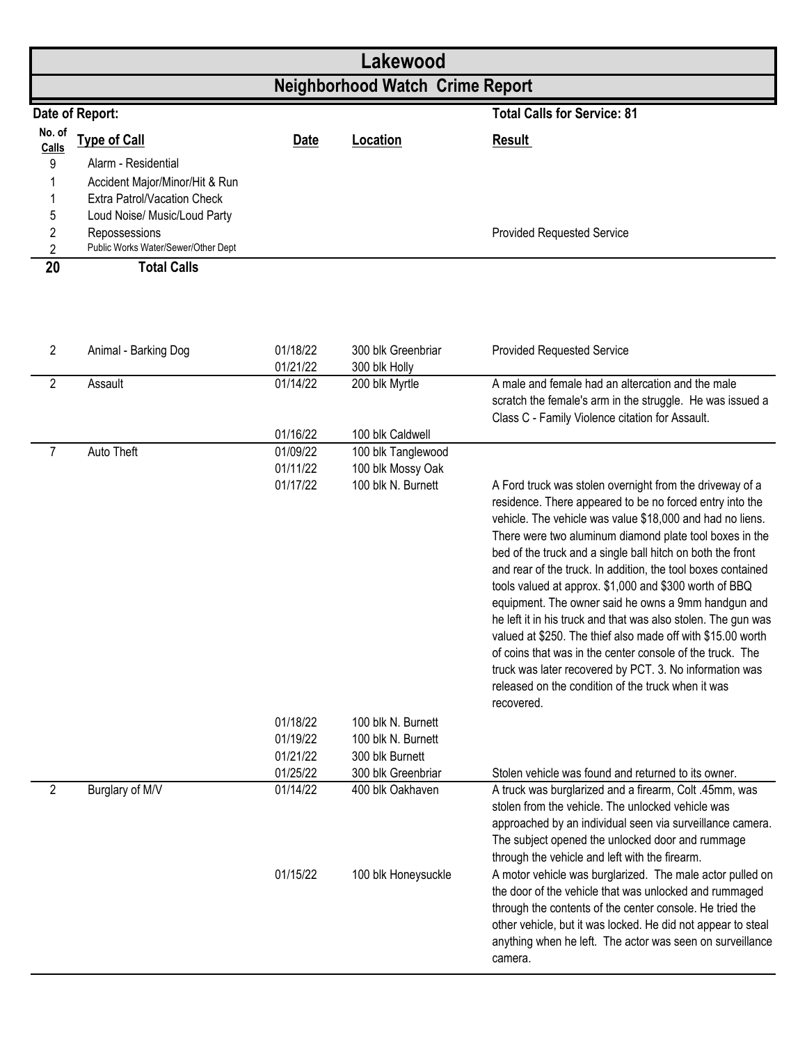| Lakewood                               |                                                                                                                    |                      |                                          |                                                                                                                                                                                                                                                                                                                                                                                                                                                                                                                                                                                                                                                                                                                                                                                                                         |  |  |  |  |
|----------------------------------------|--------------------------------------------------------------------------------------------------------------------|----------------------|------------------------------------------|-------------------------------------------------------------------------------------------------------------------------------------------------------------------------------------------------------------------------------------------------------------------------------------------------------------------------------------------------------------------------------------------------------------------------------------------------------------------------------------------------------------------------------------------------------------------------------------------------------------------------------------------------------------------------------------------------------------------------------------------------------------------------------------------------------------------------|--|--|--|--|
| <b>Neighborhood Watch Crime Report</b> |                                                                                                                    |                      |                                          |                                                                                                                                                                                                                                                                                                                                                                                                                                                                                                                                                                                                                                                                                                                                                                                                                         |  |  |  |  |
|                                        | Date of Report:                                                                                                    |                      |                                          | <b>Total Calls for Service: 81</b>                                                                                                                                                                                                                                                                                                                                                                                                                                                                                                                                                                                                                                                                                                                                                                                      |  |  |  |  |
| No. of<br>Calls<br>9                   | <b>Type of Call</b><br>Alarm - Residential<br>Accident Major/Minor/Hit & Run<br><b>Extra Patrol/Vacation Check</b> | <b>Date</b>          | Location                                 | <b>Result</b>                                                                                                                                                                                                                                                                                                                                                                                                                                                                                                                                                                                                                                                                                                                                                                                                           |  |  |  |  |
| 5<br>2<br>$\overline{c}$               | Loud Noise/ Music/Loud Party<br>Repossessions<br>Public Works Water/Sewer/Other Dept                               |                      |                                          | <b>Provided Requested Service</b>                                                                                                                                                                                                                                                                                                                                                                                                                                                                                                                                                                                                                                                                                                                                                                                       |  |  |  |  |
| 20<br>$\overline{c}$                   | <b>Total Calls</b><br>Animal - Barking Dog                                                                         | 01/18/22             | 300 blk Greenbriar                       | <b>Provided Requested Service</b>                                                                                                                                                                                                                                                                                                                                                                                                                                                                                                                                                                                                                                                                                                                                                                                       |  |  |  |  |
|                                        |                                                                                                                    | 01/21/22             | 300 blk Holly                            |                                                                                                                                                                                                                                                                                                                                                                                                                                                                                                                                                                                                                                                                                                                                                                                                                         |  |  |  |  |
| $\overline{2}$                         | Assault                                                                                                            | 01/14/22             | 200 blk Myrtle                           | A male and female had an altercation and the male<br>scratch the female's arm in the struggle. He was issued a<br>Class C - Family Violence citation for Assault.                                                                                                                                                                                                                                                                                                                                                                                                                                                                                                                                                                                                                                                       |  |  |  |  |
| 7                                      | Auto Theft                                                                                                         | 01/16/22<br>01/09/22 | 100 blk Caldwell<br>100 blk Tanglewood   |                                                                                                                                                                                                                                                                                                                                                                                                                                                                                                                                                                                                                                                                                                                                                                                                                         |  |  |  |  |
|                                        |                                                                                                                    | 01/11/22             | 100 blk Mossy Oak                        |                                                                                                                                                                                                                                                                                                                                                                                                                                                                                                                                                                                                                                                                                                                                                                                                                         |  |  |  |  |
|                                        |                                                                                                                    | 01/17/22             | 100 blk N. Burnett                       | A Ford truck was stolen overnight from the driveway of a<br>residence. There appeared to be no forced entry into the<br>vehicle. The vehicle was value \$18,000 and had no liens.<br>There were two aluminum diamond plate tool boxes in the<br>bed of the truck and a single ball hitch on both the front<br>and rear of the truck. In addition, the tool boxes contained<br>tools valued at approx. \$1,000 and \$300 worth of BBQ<br>equipment. The owner said he owns a 9mm handgun and<br>he left it in his truck and that was also stolen. The gun was<br>valued at \$250. The thief also made off with \$15.00 worth<br>of coins that was in the center console of the truck. The<br>truck was later recovered by PCT. 3. No information was<br>released on the condition of the truck when it was<br>recovered. |  |  |  |  |
|                                        |                                                                                                                    | 01/18/22<br>01/19/22 | 100 blk N. Burnett<br>100 blk N. Burnett |                                                                                                                                                                                                                                                                                                                                                                                                                                                                                                                                                                                                                                                                                                                                                                                                                         |  |  |  |  |
|                                        |                                                                                                                    | 01/21/22             | 300 blk Burnett                          |                                                                                                                                                                                                                                                                                                                                                                                                                                                                                                                                                                                                                                                                                                                                                                                                                         |  |  |  |  |
|                                        |                                                                                                                    | 01/25/22             | 300 blk Greenbriar                       | Stolen vehicle was found and returned to its owner.                                                                                                                                                                                                                                                                                                                                                                                                                                                                                                                                                                                                                                                                                                                                                                     |  |  |  |  |
| $\overline{2}$                         | Burglary of M/V                                                                                                    | 01/14/22<br>01/15/22 | 400 blk Oakhaven<br>100 blk Honeysuckle  | A truck was burglarized and a firearm, Colt .45mm, was<br>stolen from the vehicle. The unlocked vehicle was<br>approached by an individual seen via surveillance camera.<br>The subject opened the unlocked door and rummage<br>through the vehicle and left with the firearm.<br>A motor vehicle was burglarized. The male actor pulled on<br>the door of the vehicle that was unlocked and rummaged<br>through the contents of the center console. He tried the<br>other vehicle, but it was locked. He did not appear to steal<br>anything when he left. The actor was seen on surveillance<br>camera.                                                                                                                                                                                                               |  |  |  |  |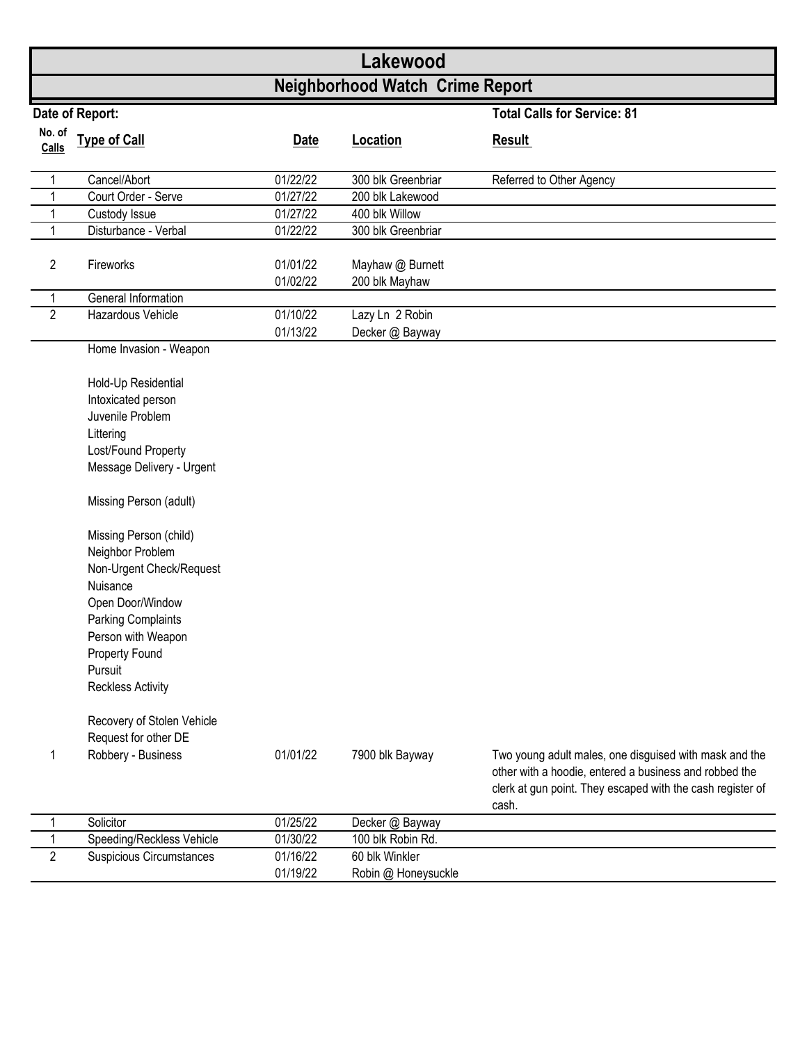|                 |                                                                                                                                                                                                                                                  |                      | Lakewood                           |                                                                                                                                                                                         |  |  |  |  |  |
|-----------------|--------------------------------------------------------------------------------------------------------------------------------------------------------------------------------------------------------------------------------------------------|----------------------|------------------------------------|-----------------------------------------------------------------------------------------------------------------------------------------------------------------------------------------|--|--|--|--|--|
|                 | <b>Neighborhood Watch Crime Report</b>                                                                                                                                                                                                           |                      |                                    |                                                                                                                                                                                         |  |  |  |  |  |
| Date of Report: |                                                                                                                                                                                                                                                  |                      |                                    | <b>Total Calls for Service: 81</b>                                                                                                                                                      |  |  |  |  |  |
| No. of<br>Calls | <b>Type of Call</b>                                                                                                                                                                                                                              | <b>Date</b>          | Location                           | <b>Result</b>                                                                                                                                                                           |  |  |  |  |  |
| 1               | Cancel/Abort                                                                                                                                                                                                                                     | 01/22/22             | 300 blk Greenbriar                 | Referred to Other Agency                                                                                                                                                                |  |  |  |  |  |
| 1               | Court Order - Serve                                                                                                                                                                                                                              | 01/27/22             | 200 blk Lakewood                   |                                                                                                                                                                                         |  |  |  |  |  |
| 1               | Custody Issue                                                                                                                                                                                                                                    | 01/27/22             | 400 blk Willow                     |                                                                                                                                                                                         |  |  |  |  |  |
| 1               | Disturbance - Verbal                                                                                                                                                                                                                             | 01/22/22             | 300 blk Greenbriar                 |                                                                                                                                                                                         |  |  |  |  |  |
| $\overline{c}$  | Fireworks                                                                                                                                                                                                                                        | 01/01/22<br>01/02/22 | Mayhaw @ Burnett<br>200 blk Mayhaw |                                                                                                                                                                                         |  |  |  |  |  |
| 1               | General Information                                                                                                                                                                                                                              |                      |                                    |                                                                                                                                                                                         |  |  |  |  |  |
| $\overline{2}$  | Hazardous Vehicle                                                                                                                                                                                                                                | 01/10/22             | Lazy Ln 2 Robin                    |                                                                                                                                                                                         |  |  |  |  |  |
|                 |                                                                                                                                                                                                                                                  | 01/13/22             | Decker @ Bayway                    |                                                                                                                                                                                         |  |  |  |  |  |
|                 | Home Invasion - Weapon<br>Hold-Up Residential                                                                                                                                                                                                    |                      |                                    |                                                                                                                                                                                         |  |  |  |  |  |
|                 | Intoxicated person                                                                                                                                                                                                                               |                      |                                    |                                                                                                                                                                                         |  |  |  |  |  |
|                 | Juvenile Problem                                                                                                                                                                                                                                 |                      |                                    |                                                                                                                                                                                         |  |  |  |  |  |
|                 | Littering                                                                                                                                                                                                                                        |                      |                                    |                                                                                                                                                                                         |  |  |  |  |  |
|                 | Lost/Found Property                                                                                                                                                                                                                              |                      |                                    |                                                                                                                                                                                         |  |  |  |  |  |
|                 | Message Delivery - Urgent                                                                                                                                                                                                                        |                      |                                    |                                                                                                                                                                                         |  |  |  |  |  |
|                 | Missing Person (adult)                                                                                                                                                                                                                           |                      |                                    |                                                                                                                                                                                         |  |  |  |  |  |
|                 | Missing Person (child)<br>Neighbor Problem<br>Non-Urgent Check/Request<br>Nuisance<br>Open Door/Window<br><b>Parking Complaints</b><br>Person with Weapon<br>Property Found<br>Pursuit<br><b>Reckless Activity</b><br>Recovery of Stolen Vehicle |                      |                                    |                                                                                                                                                                                         |  |  |  |  |  |
| 1               | Request for other DE<br>Robbery - Business                                                                                                                                                                                                       | 01/01/22             | 7900 blk Bayway                    | Two young adult males, one disguised with mask and the<br>other with a hoodie, entered a business and robbed the<br>clerk at gun point. They escaped with the cash register of<br>cash. |  |  |  |  |  |
|                 | Solicitor                                                                                                                                                                                                                                        | 01/25/22             | Decker @ Bayway                    |                                                                                                                                                                                         |  |  |  |  |  |
| 1               | Speeding/Reckless Vehicle                                                                                                                                                                                                                        | 01/30/22             | 100 blk Robin Rd.                  |                                                                                                                                                                                         |  |  |  |  |  |
| $\overline{2}$  | <b>Suspicious Circumstances</b>                                                                                                                                                                                                                  | 01/16/22             | 60 blk Winkler                     |                                                                                                                                                                                         |  |  |  |  |  |
|                 |                                                                                                                                                                                                                                                  | 01/19/22             | Robin @ Honeysuckle                |                                                                                                                                                                                         |  |  |  |  |  |